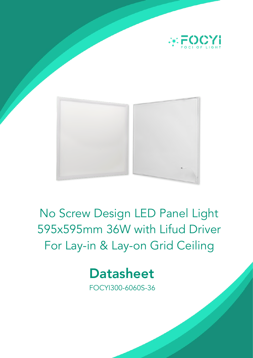



# No Screw Design LED Panel Light 595x595mm 36W with Lifud Driver For Lay-in & Lay-on Grid Ceiling



FOCYI300-6060S-36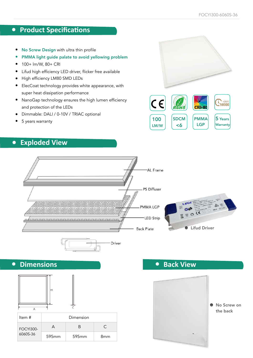# **•** Product Specifications

- No Screw Design with ultra thin profile
- PMMA light guide palate to avoid yellowing problem
- 100+ lm/W, 80+ CRI
- Lifud high efficiency LED driver, flicker free available
- High efficiency LM80 SMD LEDs
- ElecCoat technology provides white appearance, with super heat dissipation performance
- NanoGap technology ensures the high lumen efficiency and protection of the LEDs
- Dimmable: DALI / 0-10V / TRIAC optional
- 5 years warranty

# **• Exploded View**







**• Dimensions**



| Item #                       | Dimension |       |     |
|------------------------------|-----------|-------|-----|
| <b>FOCYI300-</b><br>6060S-36 |           | н     | C   |
|                              | 595mm     | 595mm | 8mm |

**• Back View**

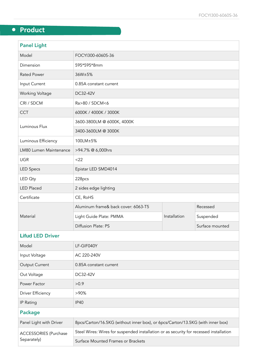# **• Product**

| <b>Panel Light</b>      |                                     |              |                 |  |  |
|-------------------------|-------------------------------------|--------------|-----------------|--|--|
| Model                   | FOCYI300-6060S-36                   |              |                 |  |  |
| Dimension               | 595*595*8mm                         |              |                 |  |  |
| <b>Rated Power</b>      | 36W±5%                              |              |                 |  |  |
| Input Current           | 0.85A constant current              |              |                 |  |  |
| <b>Working Voltage</b>  | DC32-42V                            |              |                 |  |  |
| CRI / SDCM              | Ra>80 / SDCM<6                      |              |                 |  |  |
| <b>CCT</b>              | 6000K / 4000K / 3000K               |              |                 |  |  |
| Luminous Flux           | 3600-3800LM @ 6000K, 4000K          |              |                 |  |  |
|                         | 3400-3600LM @ 3000K                 |              |                 |  |  |
| Luminous Efficiency     | 100LM±5%                            |              |                 |  |  |
| LM80 Lumen Maintenance  | >94.7% @ 6,000hrs                   |              |                 |  |  |
| <b>UGR</b>              | $<$ 22                              |              |                 |  |  |
| <b>LED Specs</b>        | Epistar LED SMD4014                 |              |                 |  |  |
| LED Oty                 | 228pcs                              |              |                 |  |  |
| <b>LED Placed</b>       | 2 sides edge lighting               |              |                 |  |  |
| Certificate             | CE, RoHS                            |              |                 |  |  |
| Material                | Aluminum frame& back cover: 6063-T5 |              | Recessed        |  |  |
|                         | Light Guide Plate: PMMA             | Installation | Suspended       |  |  |
|                         | Diffusion Plate: PS                 |              | Surface mounted |  |  |
| <b>Lifud LED Driver</b> |                                     |              |                 |  |  |

#### **Lifud** LED Driver

| Model                                       | LF-GIF040Y                                                                             |  |  |  |
|---------------------------------------------|----------------------------------------------------------------------------------------|--|--|--|
| Input Voltage                               | AC 220-240V                                                                            |  |  |  |
| Output Current                              | 0.85A constant current                                                                 |  |  |  |
| Out Voltage                                 | DC32-42V                                                                               |  |  |  |
| Power Factor                                | >0.9                                                                                   |  |  |  |
| <b>Driver Efficiency</b>                    | $>90\%$                                                                                |  |  |  |
| IP Rating                                   | <b>IP40</b>                                                                            |  |  |  |
| <b>Package</b>                              |                                                                                        |  |  |  |
| Panel Light with Driver                     | 8pcs/Carton/16.5KG (without inner box), or 6pcs/Carton/13.5KG (with inner box)         |  |  |  |
| <b>ACCESSORIES (Purchase</b><br>Separately) | Steel Wires: Wires for suspended installation or as security for recessed installation |  |  |  |
|                                             | Surface Mounted Frames or Brackets                                                     |  |  |  |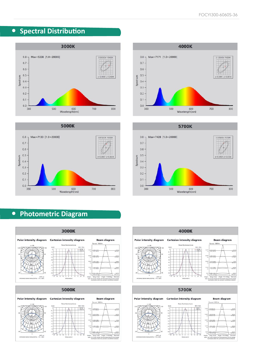# **•** Spectral Distribution









# **• Photometric Diagram**





#### 5700K

#### **Polar intensity diagram Cartesian intensity diagram**







mit

 $20.4$ 

os<br>st<br>Height<br>Note: 0.8985.32299 50.67% Angle: 114.16deg Earry,  $\frac{1}{2}$ 

#### Planer III



 $-$  CG180

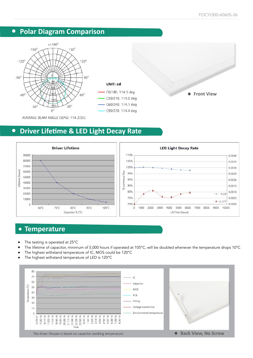# **• Polar Diagram Comparison**







**Front View**

AVERAGE BEAM ANGLE (50%): 114.2DEG

#### **•** Driver Lifetime & LED Light Decay Rate



#### **• Temperature**

- The testing is operated at 25°C
- The lifetime of capacitor, minimum of 5,000 hours if operated at 105°C, will be doubled whenever the temperature drops 10°C
- The highest withstand temperature of IC, MOS could be 120°C
- The highest withstand temperature of LED is 120°C

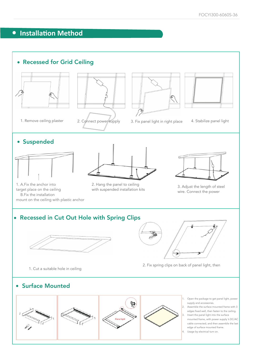# **•** Installation Method

#### • Recessed for Grid Ceiling





1. Remove ceiling plaster and 2. Cghnect power supply and in supply in right place 4. Stabilize panel light





#### • Suspended



1. A.Fix the anchor into target place on the ceiling B.Fix the installation mount on the ceiling with plastic anchor



2. Hang the panel to ceiling 2. Hang the panel to celling<br>with suspended installation kits 3. Adjust the length of steel

led



wire. Connect the power

#### • Recessed in Cut Out Hole with Spring Clips



F 2. Fix spring clips on back of panel light, then

1. Cut a suitable hole in ceiling

• Surface Mounted

1. Open the package to get panel light, power supply and accessories. 2. Assemble the surface mounted frame with 3

- edges fixed well, then fasten to the ceiling. Insert the panel light into the surface
- mounted frame, with power supply 's DC/AC cable connected, and then assemble the last edge of surface mounted frame.
- 4. Usage by electrical turn on.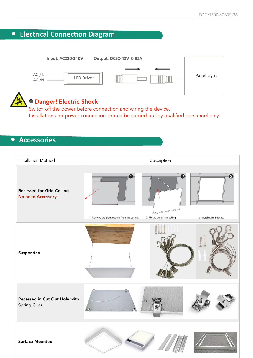



Switch off the power before connection and wiring the device. Installation and power connection should be carried out by qualified personnel only.

#### **• Accessories**

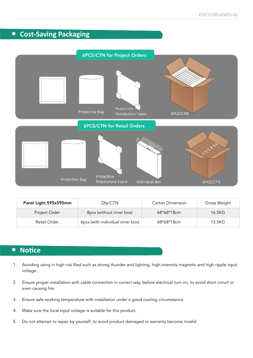# **• Cost-Saving Packaging**



| Panel Light 595x595mm | $Q$ ty/ $CTN$                    | Carton Dimension | Gross Weight |
|-----------------------|----------------------------------|------------------|--------------|
| Project Order         | 8pcs (without inner box)         | $68*68*18cm$     | 16.5KG       |
| Retail Order          | 6pcs (with individual inner box) | 68*68*18cm       | 13.5KG       |

#### **•** Notice

- 1. Avoiding using in high risk filed such as strong thunder and lighting, high-intensity magnetic and high ripple input voltage.
- 2. Ensure proper installation with cable connection in correct way, before electrical turn on, to avoid short circuit or even causing fire.
- 3. Ensure safe working temperature with installation under a good cooling circumstance.
- 4. Make sure the local input voltage is suitable for this product.
- 5. Do not attempt to repair by yourself, to avoid product damaged or warranty become invalid.